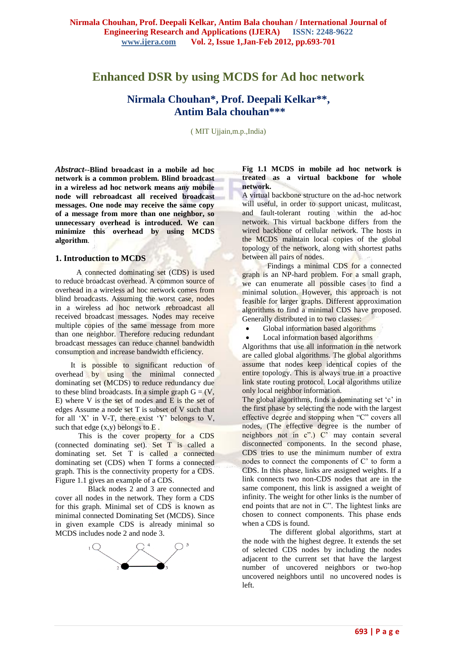# **Enhanced DSR by using MCDS for Ad hoc network**

# **Nirmala Chouhan\* , Prof. Deepali Kelkar\*\* , Antim Bala chouhan\*\*\***

( MIT Ujjain,m.p.,India)

*Abstract--***Blind broadcast in a mobile ad hoc network is a common problem. Blind broadcast in a wireless ad hoc network means any mobile node will rebroadcast all received broadcast messages. One node may receive the same copy of a message from more than one neighbor, so unnecessary overhead is introduced. We can minimize this overhead by using MCDS algorithm**.

## **1. Introduction to MCDS**

 A connected dominating set (CDS) is used to reduce broadcast overhead. A common source of overhead in a wireless ad hoc network comes from blind broadcasts. Assuming the worst case, nodes in a wireless ad hoc network rebroadcast all received broadcast messages. Nodes may receive multiple copies of the same message from more than one neighbor. Therefore reducing redundant broadcast messages can reduce channel bandwidth consumption and increase bandwidth efficiency.

 It is possible to significant reduction of overhead by using the minimal connected dominating set (MCDS) to reduce redundancy due to these blind broadcasts. In a simple graph  $G = (V, \cdot)$ E) where V is the set of nodes and E is the set of edges Assume a node set T is subset of V such that for all 'X' in V-T, there exist 'Y' belongs to V, such that edge  $(x,y)$  belongs to  $E$ .

 This is the cover property for a CDS (connected dominating set). Set T is called a dominating set. Set T is called a connected dominating set (CDS) when T forms a connected graph. This is the connectivity property for a CDS. Figure 1.1 gives an example of a CDS.

 Black nodes 2 and 3 are connected and cover all nodes in the network. They form a CDS for this graph. Minimal set of CDS is known as minimal connected Dominating Set (MCDS). Since in given example CDS is already minimal so MCDS includes node 2 and node 3.



### **Fig 1.1 MCDS in mobile ad hoc network is treated as a virtual backbone for whole network.**

A virtual backbone structure on the ad-hoc network will useful, in order to support unicast, mulitcast, and fault-tolerant routing within the ad-hoc network. This virtual backbone differs from the wired backbone of cellular network. The hosts in the MCDS maintain local copies of the global topology of the network, along with shortest paths between all pairs of nodes.

 Findings a minimal CDS for a connected graph is an NP-hard problem. For a small graph, we can enumerate all possible cases to find a minimal solution. However, this approach is not feasible for larger graphs. Different approximation algorithms to find a minimal CDS have proposed. Generally distributed in to two classes:

Global information based algorithms

Local information based algorithms

Algorithms that use all information in the network are called global algorithms. The global algorithms assume that nodes keep identical copies of the entire topology. This is always true in a proactive link state routing protocol. Local algorithms utilize only local neighbor information.

The global algorithms, finds a dominating set 'c' in the first phase by selecting the node with the largest effective degree and stopping when "C" covers all nodes, (The effective degree is the number of neighbors not in  $c$ ".)  $\overrightarrow{C}$  may contain several disconnected components. In the second phase, CDS tries to use the minimum number of extra nodes to connect the components of C" to form a CDS. In this phase, links are assigned weights. If a link connects two non-CDS nodes that are in the same component, this link is assigned a weight of infinity. The weight for other links is the number of end points that are not in C". The lightest links are chosen to connect components. This phase ends when a CDS is found.

The different global algorithms, start at the node with the highest degree. It extends the set of selected CDS nodes by including the nodes adjacent to the current set that have the largest number of uncovered neighbors or two-hop uncovered neighbors until no uncovered nodes is left.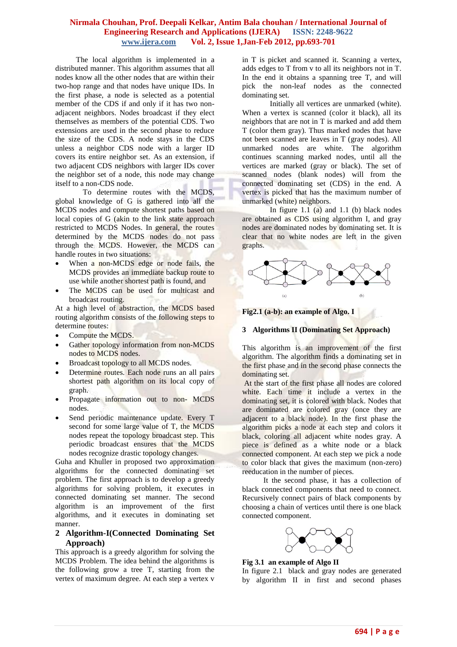The local algorithm is implemented in a distributed manner. This algorithm assumes that all nodes know all the other nodes that are within their two-hop range and that nodes have unique IDs. In the first phase, a node is selected as a potential member of the CDS if and only if it has two nonadjacent neighbors. Nodes broadcast if they elect themselves as members of the potential CDS. Two extensions are used in the second phase to reduce the size of the CDS. A node stays in the CDS unless a neighbor CDS node with a larger ID covers its entire neighbor set. As an extension, if two adjacent CDS neighbors with larger IDs cover the neighbor set of a node, this node may change itself to a non-CDS node.

To determine routes with the MCDS, global knowledge of G is gathered into all the MCDS nodes and compute shortest paths based on local copies of G (akin to the link state approach restricted to MCDS Nodes. In general, the routes determined by the MCDS nodes do not pass through the MCDS. However, the MCDS can handle routes in two situations:

- When a non-MCDS edge or node fails, the MCDS provides an immediate backup route to use while another shortest path is found, and
- The MCDS can be used for multicast and broadcast routing.

At a high level of abstraction, the MCDS based routing algorithm consists of the following steps to determine routes:

- Compute the MCDS.
- Gather topology information from non-MCDS nodes to MCDS nodes.
- Broadcast topology to all MCDS nodes.
- Determine routes. Each node runs an all pairs shortest path algorithm on its local copy of graph.
- Propagate information out to non- MCDS nodes.
- Send periodic maintenance update. Every T second for some large value of T, the MCDS nodes repeat the topology broadcast step. This periodic broadcast ensures that the MCDS nodes recognize drastic topology changes.

Guha and Khuller in proposed two approximation algorithms for the connected dominating set problem. The first approach is to develop a greedy algorithms for solving problem, it executes in connected dominating set manner. The second algorithm is an improvement of the first algorithms, and it executes in dominating set manner.

# **2 Algorithm-I(Connected Dominating Set Approach)**

This approach is a greedy algorithm for solving the MCDS Problem. The idea behind the algorithms is the following grow a tree T, starting from the vertex of maximum degree. At each step a vertex v

in T is picket and scanned it. Scanning a vertex, adds edges to T from v to all its neighbors not in T. In the end it obtains a spanning tree T, and will pick the non-leaf nodes as the connected dominating set.

Initially all vertices are unmarked (white). When a vertex is scanned (color it black), all its neighbors that are not in T is marked and add them T (color them gray). Thus marked nodes that have not been scanned are leaves in T (gray nodes). All unmarked nodes are white. The algorithm continues scanning marked nodes, until all the vertices are marked (gray or black). The set of scanned nodes (blank nodes) will from the connected dominating set (CDS) in the end. A vertex is picked that has the maximum number of unmarked (white) neighbors.

In figure 1.1 (a) and 1.1 (b) black nodes are obtained as CDS using algorithm I, and gray nodes are dominated nodes by dominating set. It is clear that no white nodes are left in the given graphs.



**Fig2.1 (a-b): an example of Algo. I**

## **3 Algorithms II (Dominating Set Approach)**

This algorithm is an improvement of the first algorithm. The algorithm finds a dominating set in the first phase and in the second phase connects the dominating set.

At the start of the first phase all nodes are colored white. Each time it include a vertex in the dominating set, it is colored with black. Nodes that are dominated are colored gray (once they are adjacent to a black node). In the first phase the algorithm picks a node at each step and colors it black, coloring all adjacent white nodes gray. A piece is defined as a white node or a black connected component. At each step we pick a node to color black that gives the maximum (non-zero) reeducation in the number of pieces.

 It the second phase, it has a collection of black connected components that need to connect. Recursively connect pairs of black components by choosing a chain of vertices until there is one black connected component.



**Fig 3.1 an example of Algo II**

In figure 2.1 black and gray nodes are generated by algorithm II in first and second phases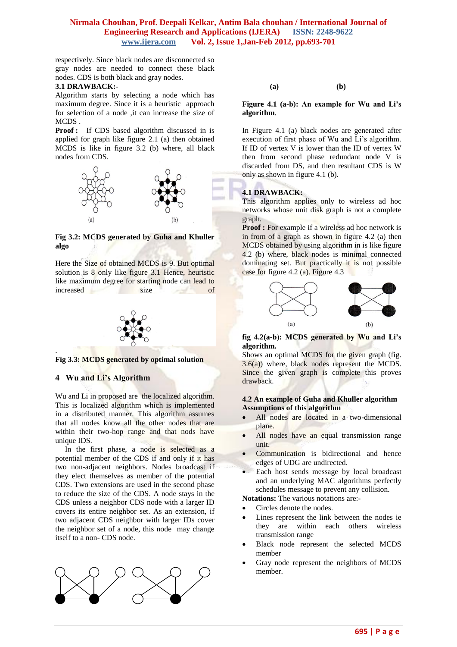respectively. Since black nodes are disconnected so gray nodes are needed to connect these black nodes. CDS is both black and gray nodes.

#### **3.1 DRAWBACK:-**

Algorithm starts by selecting a node which has maximum degree. Since it is a heuristic approach for selection of a node ,it can increase the size of MCDS .

**Proof :** If CDS based algorithm discussed in is applied for graph like figure 2.1 (a) then obtained MCDS is like in figure 3.2 (b) where, all black nodes from CDS.



### **Fig 3.2: MCDS generated by Guha and Khuller algo**

Here the Size of obtained MCDS is 9. But optimal solution is 8 only like figure 3.1 Hence, heuristic like maximum degree for starting node can lead to increased size of



**Fig 3.3: MCDS generated by optimal solution**

## **4 Wu and Li's Algorithm**

.

Wu and Li in proposed are the localized algorithm. This is localized algorithm which is implemented in a distributed manner. This algorithm assumes that all nodes know all the other nodes that are within their two-hop range and that nods have unique IDS.

In the first phase, a node is selected as a potential member of the CDS if and only if it has two non-adjacent neighbors. Nodes broadcast if they elect themselves as member of the potential CDS. Two extensions are used in the second phase to reduce the size of the CDS. A node stays in the CDS unless a neighbor CDS node with a larger ID covers its entire neighbor set. As an extension, if two adjacent CDS neighbor with larger IDs cover the neighbor set of a node, this node may change itself to a non- CDS node.



**(a) (b)** 

### **Figure 4.1 (a-b): An example for Wu and Li's algorithm**.

In Figure 4.1 (a) black nodes are generated after execution of first phase of Wu and Li's algorithm. If ID of vertex V is lower than the ID of vertex W then from second phase redundant node V is discarded from DS, and then resultant CDS is W only as shown in figure 4.1 (b).

### **4.1 DRAWBACK:**

This algorithm applies only to wireless ad hoc networks whose unit disk graph is not a complete graph.

**Proof :** For example if a wireless ad hoc network is in from of a graph as shown in figure 4.2 (a) then MCDS obtained by using algorithm in is like figure 4.2 (b) where, black nodes is minimal connected dominating set. But practically it is not possible case for figure 4.2 (a). Figure 4.3



**fig 4.2(a-b): MCDS generated by Wu and Li's algorithm.**

Shows an optimal MCDS for the given graph (fig. 3.6(a)) where, black nodes represent the MCDS. Since the given graph is complete this proves drawback.

# **4.2 An example of Guha and Khuller algorithm Assumptions of this algorithm**

- All nodes are located in a two-dimensional plane.
- All nodes have an equal transmission range unit.
- Communication is bidirectional and hence edges of UDG are undirected.
- Each host sends message by local broadcast and an underlying MAC algorithms perfectly schedules message to prevent any collision.

**Notations:** The various notations are:-

- Circles denote the nodes.
- Lines represent the link between the nodes ie they are within each others wireless transmission range
- Black node represent the selected MCDS member
- Gray node represent the neighbors of MCDS member.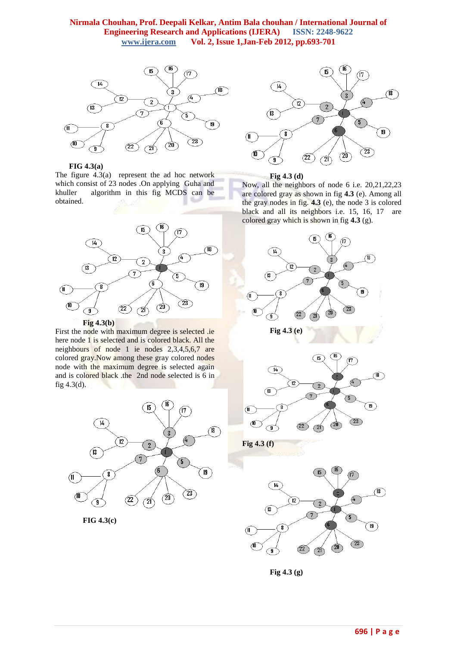

**FIG 4.3(a)**

The figure 4.3(a) represent the ad hoc network which consist of 23 nodes .On applying Guha and khuller algorithm in this fig MCDS can be obtained.



First the node with maximum degree is selected .ie here node 1 is selected and is colored black. All the neighbours of node 1 ie nodes 2,3,4,5,6,7 are colored gray.Now among these gray colored nodes node with the maximum degree is selected again and is colored black .the 2nd node selected is 6 in fig 4.3(d).



**FIG 4.3(c)**



**Fig 4.3 (d)**

Now, all the neighbors of node 6 i.e. 20,21,22,23 are colored gray as shown in fig **4.3** (e). Among all the gray nodes in fig. **4.3** (e), the node 3 is colored black and all its neighbors i.e. 15, 16, 17 are colored gray which is shown in fig **4.3** (g).





**Fig 4.3 (g)**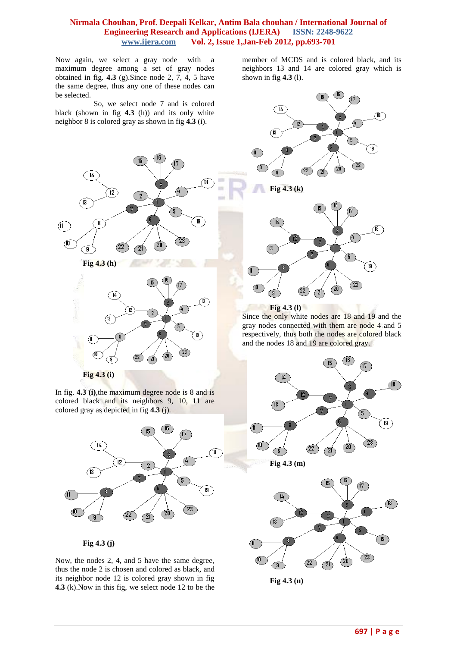Now again, we select a gray node with a maximum degree among a set of gray nodes obtained in fig. **4.3** (g).Since node 2, 7, 4, 5 have the same degree, thus any one of these nodes can be selected.

 So, we select node 7 and is colored black (shown in fig **4.3** (h)) and its only white neighbor 8 is colored gray as shown in fig **4.3** (i).



In fig. **4.3 (i)**,the maximum degree node is 8 and is colored black and its neighbors 9, 10, 11 are colored gray as depicted in fig **4.3** (j).



**Fig 4.3 (j)**

Now, the nodes 2, 4, and 5 have the same degree, thus the node 2 is chosen and colored as black, and its neighbor node 12 is colored gray shown in fig **4.3** (k).Now in this fig, we select node 12 to be the

member of MCDS and is colored black, and its neighbors 13 and 14 are colored gray which is shown in fig **4.3** (l).





Since the only white nodes are 18 and 19 and the gray nodes connected with them are node 4 and 5 respectively, thus both the nodes are colored black and the nodes 18 and 19 are colored gray.



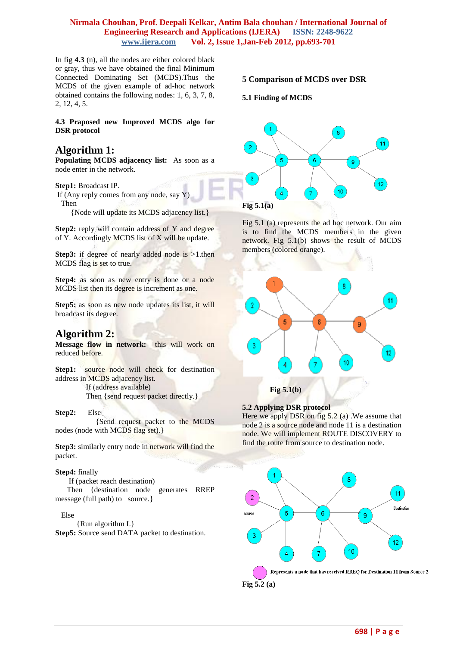In fig **4.3** (n), all the nodes are either colored black or gray, thus we have obtained the final Minimum Connected Dominating Set (MCDS).Thus the MCDS of the given example of ad-hoc network obtained contains the following nodes: 1, 6, 3, 7, 8, 2, 12, 4, 5.

**4.3 Praposed new Improved MCDS algo for DSR protocol**

# **Algorithm 1:**

**Populating MCDS adjacency list:** As soon as a node enter in the network.

#### **Step1:** Broadcast IP.

If (Any reply comes from any node, say Y) Then

{Node will update its MCDS adjacency list.}

**Step2:** reply will contain address of Y and degree of Y. Accordingly MCDS list of X will be update.

**Step3:** if degree of nearly added node is >1.then MCDS flag is set to true.

**Step4:** as soon as new entry is done or a node MCDS list then its degree is increment as one.

Step5: as soon as new node updates its list, it will broadcast its degree.

# **Algorithm 2:**

**Message flow in network:** this will work on reduced before.

**Step1:** source node will check for destination address in MCDS adjacency list.

> If (address available) Then {send request packet directly.}

#### **Step2:** Else

 {Send request packet to the MCDS nodes (node with MCDS flag set).}

**Step3:** similarly entry node in network will find the packet.

#### **Step4:** finally

If (packet reach destination)

 Then {destination node generates RREP message (full path) to source.}

#### Else

 {Run algorithm I.} **Step5:** Source send DATA packet to destination.

## **5 Comparison of MCDS over DSR**

## **5.1 Finding of MCDS**



Fig 5.1 (a) represents the ad hoc network. Our aim is to find the MCDS members in the given network. Fig 5.1(b) shows the result of MCDS members (colored orange).



### **5.2 Applying DSR protocol**

Here we apply DSR on fig  $5.2$  (a). We assume that node 2 is a source node and node 11 is a destination node. We will implement ROUTE DISCOVERY to find the route from source to destination node.

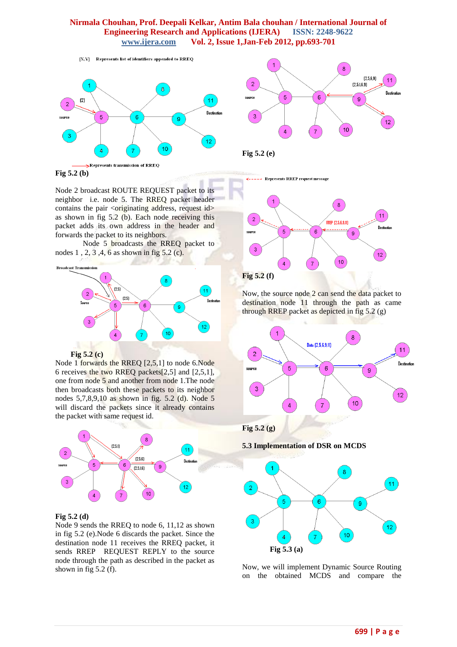

 $[X, Y]$  Represents list of identifiers appended to  $RREQ$ 





**Fig 5.2 (b)**

Node 2 broadcast ROUTE REQUEST packet to its neighbor i.e. node 5. The RREQ packet header contains the pair  $\langle$ originating address, request id $>$ as shown in fig 5.2 (b). Each node receiving this packet adds its own address in the header and forwards the packet to its neighbors.

Node 5 broadcasts the RREQ packet to nodes 1 , 2, 3 ,4, 6 as shown in fig 5.2 (c).



 **Fig 5.2 (c)**

Node 1 forwards the RREQ [2,5,1] to node 6.Node 6 receives the two RREQ packets[2,5] and [2,5,1], one from node 5 and another from node 1.The node then broadcasts both these packets to its neighbor nodes 5,7,8,9,10 as shown in fig. 5.2 (d). Node 5 will discard the packets since it already contains the packet with same request id.



## **Fig 5.2 (d)**

Node 9 sends the RREQ to node 6, 11,12 as shown in fig 5.2 (e).Node 6 discards the packet. Since the destination node 11 receives the RREQ packet, it sends RREP REQUEST REPLY to the source node through the path as described in the packet as shown in fig  $5.2$  (f).

<----- Represents RREP request message



Now, the source node 2 can send the data packet to destination node 11 through the path as came through RREP packet as depicted in fig 5.2 (g)



**5.3 Implementation of DSR on MCDS**



Now, we will implement Dynamic Source Routing on the obtained MCDS and compare the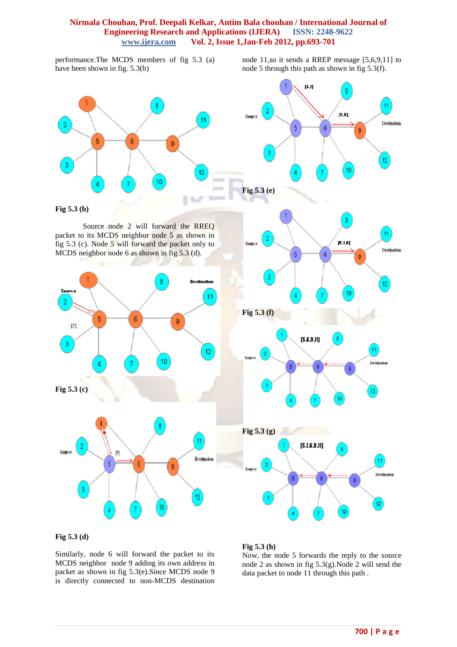performance.The MCDS members of fig 5.3 (a) have been shown in fig. 5.3(b)

node 11,so it sends a RREP message [5,6,9,11] to node 5 through this path as shown in fig 5.3(f).



**Fig 5.3 (d)**

Similarly, node 6 will forward the packet to its MCDS neighbor node 9 adding its own address in packet as shown in fig 5.3(e).Since MCDS node 9 is directly connected to non-MCDS destination

## **Fig 5.3 (h)**

Now, the node 5 forwards the reply to the source node 2 as shown in fig 5.3(g).Node 2 will send the data packet to node 11 through this path .